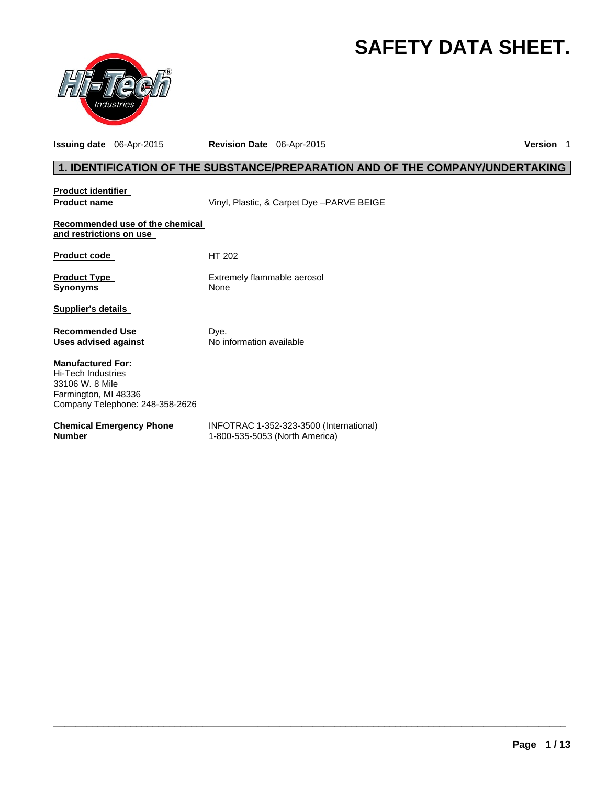# **SAFETY DATA SHEET.**



**Issuing date** 06-Apr-2015 **Revision Date** 06-Apr-2015 **Version** 1

# **1. IDENTIFICATION OF THE SUBSTANCE/PREPARATION AND OF THE COMPANY/UNDERTAKING**

| <b>Product identifier</b>                                                                                                    |                                                                           |
|------------------------------------------------------------------------------------------------------------------------------|---------------------------------------------------------------------------|
| <b>Product name</b>                                                                                                          | Vinyl, Plastic, & Carpet Dye - PARVE BEIGE                                |
| Recommended use of the chemical<br>and restrictions on use                                                                   |                                                                           |
| <b>Product code</b>                                                                                                          | HT 202                                                                    |
| <b>Product Type</b><br><b>Synonyms</b>                                                                                       | Extremely flammable aerosol<br>None                                       |
| <b>Supplier's details</b>                                                                                                    |                                                                           |
| <b>Recommended Use</b><br>Uses advised against                                                                               | Dye.<br>No information available                                          |
| <b>Manufactured For:</b><br>Hi-Tech Industries<br>33106 W. 8 Mile<br>Farmington, MI 48336<br>Company Telephone: 248-358-2626 |                                                                           |
| <b>Chemical Emergency Phone</b><br><b>Number</b>                                                                             | INFOTRAC 1-352-323-3500 (International)<br>1-800-535-5053 (North America) |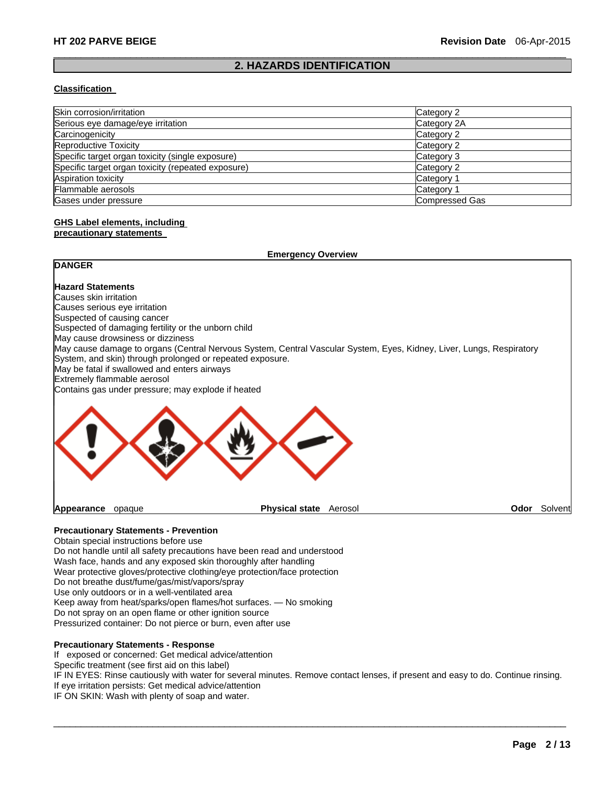### $\Box$ **2. HAZARDS IDENTIFICATION**

#### **Classification**

| Skin corrosion/irritation                          | Category 2     |
|----------------------------------------------------|----------------|
| Serious eye damage/eye irritation                  | Category 2A    |
| Carcinogenicity                                    | Category 2     |
| <b>Reproductive Toxicity</b>                       | Category 2     |
| Specific target organ toxicity (single exposure)   | Category 3     |
| Specific target organ toxicity (repeated exposure) | Category 2     |
| <b>Aspiration toxicity</b>                         | Category 1     |
| Flammable aerosols                                 | Category 1     |
| Gases under pressure                               | Compressed Gas |

# **GHS Label elements, including**

### **precautionary statements**

| <b>Emergency Overview</b>                                                                                                                                                         |      |         |  |
|-----------------------------------------------------------------------------------------------------------------------------------------------------------------------------------|------|---------|--|
| <b>DANGER</b>                                                                                                                                                                     |      |         |  |
| <b>Hazard Statements</b>                                                                                                                                                          |      |         |  |
| Causes skin irritation                                                                                                                                                            |      |         |  |
| Causes serious eye irritation                                                                                                                                                     |      |         |  |
| Suspected of causing cancer                                                                                                                                                       |      |         |  |
| Suspected of damaging fertility or the unborn child                                                                                                                               |      |         |  |
| May cause drowsiness or dizziness                                                                                                                                                 |      |         |  |
| May cause damage to organs (Central Nervous System, Central Vascular System, Eyes, Kidney, Liver, Lungs, Respiratory<br>System, and skin) through prolonged or repeated exposure. |      |         |  |
| May be fatal if swallowed and enters airways                                                                                                                                      |      |         |  |
| Extremely flammable aerosol<br>Contains gas under pressure; may explode if heated                                                                                                 |      |         |  |
|                                                                                                                                                                                   |      |         |  |
| <b>Physical state</b><br>Aerosol<br>Appearance<br>opaque                                                                                                                          | Odor | Solvent |  |

# **Precautionary Statements - Prevention**

Obtain special instructions before use Do not handle until all safety precautions have been read and understood Wash face, hands and any exposed skin thoroughly after handling Wear protective gloves/protective clothing/eye protection/face protection Do not breathe dust/fume/gas/mist/vapors/spray Use only outdoors or in a well-ventilated area Keep away from heat/sparks/open flames/hot surfaces. — No smoking Do not spray on an open flame or other ignition source Pressurized container: Do not pierce or burn, even after use

#### **Precautionary Statements - Response**

If exposed or concerned: Get medical advice/attention

Specific treatment (see first aid on this label)

IF IN EYES: Rinse cautiously with water for several minutes. Remove contact lenses, if present and easy to do. Continue rinsing. If eye irritation persists: Get medical advice/attention

 $\Box$ 

IF ON SKIN: Wash with plenty of soap and water.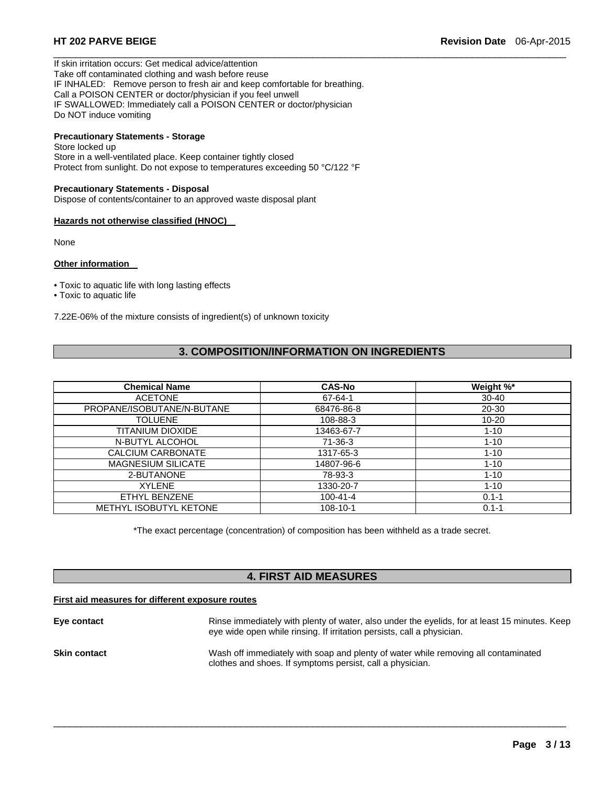If skin irritation occurs: Get medical advice/attention Take off contaminated clothing and wash before reuse IF INHALED: Remove person to fresh air and keep comfortable for breathing. Call a POISON CENTER or doctor/physician if you feel unwell IF SWALLOWED: Immediately call a POISON CENTER or doctor/physician Do NOT induce vomiting

# **Precautionary Statements - Storage**

Store locked up Store in a well-ventilated place. Keep container tightly closed Protect from sunlight. Do not expose to temperatures exceeding 50 °C/122 °F

#### **Precautionary Statements - Disposal**

Dispose of contents/container to an approved waste disposal plant

#### **Hazards not otherwise classified (HNOC)**

None

#### **Other information**

- Toxic to aquatic life with long lasting effects
- Toxic to aquatic life

7.22E-06% of the mixture consists of ingredient(s) of unknown toxicity

# **3. COMPOSITION/INFORMATION ON INGREDIENTS**

 $\Box$ 

| <b>Chemical Name</b>          | <b>CAS-No</b>  | Weight %* |
|-------------------------------|----------------|-----------|
| <b>ACETONE</b>                | 67-64-1        | $30 - 40$ |
| PROPANE/ISOBUTANE/N-BUTANE    | 68476-86-8     | $20 - 30$ |
| <b>TOLUENE</b>                | 108-88-3       | $10 - 20$ |
| TITANIUM DIOXIDE              | 13463-67-7     | $1 - 10$  |
| N-BUTYL ALCOHOL               | $71-36-3$      | $1 - 10$  |
| <b>CALCIUM CARBONATE</b>      | 1317-65-3      | $1 - 10$  |
| <b>MAGNESIUM SILICATE</b>     | 14807-96-6     | $1 - 10$  |
| 2-BUTANONE                    | 78-93-3        | $1 - 10$  |
| <b>XYLENE</b>                 | 1330-20-7      | $1 - 10$  |
| ETHYL BENZENE                 | $100 - 41 - 4$ | $0.1 - 1$ |
| <b>METHYL ISOBUTYL KETONE</b> | $108 - 10 - 1$ | $0.1 - 1$ |

\*The exact percentage (concentration) of composition has been withheld as a trade secret.

# **4. FIRST AID MEASURES**

#### **First aid measures for different exposure routes**

| Eye contact         | Rinse immediately with plenty of water, also under the eyelids, for at least 15 minutes. Keep<br>eye wide open while rinsing. If irritation persists, call a physician. |
|---------------------|-------------------------------------------------------------------------------------------------------------------------------------------------------------------------|
| <b>Skin contact</b> | Wash off immediately with soap and plenty of water while removing all contaminated<br>clothes and shoes. If symptoms persist, call a physician.                         |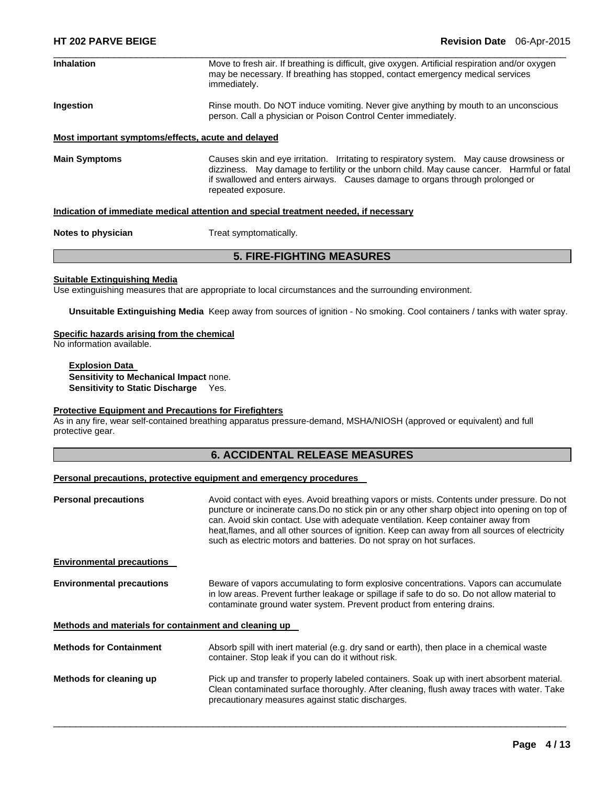| <b>Inhalation</b>                                                                    | Move to fresh air. If breathing is difficult, give oxygen. Artificial respiration and/or oxygen<br>may be necessary. If breathing has stopped, contact emergency medical services<br>immediately.                                                                                              |  |  |
|--------------------------------------------------------------------------------------|------------------------------------------------------------------------------------------------------------------------------------------------------------------------------------------------------------------------------------------------------------------------------------------------|--|--|
| Ingestion                                                                            | Rinse mouth. Do NOT induce vomiting. Never give anything by mouth to an unconscious<br>person. Call a physician or Poison Control Center immediately.                                                                                                                                          |  |  |
| Most important symptoms/effects, acute and delayed                                   |                                                                                                                                                                                                                                                                                                |  |  |
| <b>Main Symptoms</b>                                                                 | Causes skin and eye irritation. Irritating to respiratory system. May cause drowsiness or<br>dizziness. May damage to fertility or the unborn child. May cause cancer. Harmful or fatal<br>if swallowed and enters airways. Causes damage to organs through prolonged or<br>repeated exposure. |  |  |
| Indication of immediate medical attention and special treatment needed, if necessary |                                                                                                                                                                                                                                                                                                |  |  |
| Notes to physician                                                                   | Treat symptomatically.                                                                                                                                                                                                                                                                         |  |  |

# **5. FIRE-FIGHTING MEASURES**

#### **Suitable Extinguishing Media**

Use extinguishing measures that are appropriate to local circumstances and the surrounding environment.

**Unsuitable Extinguishing Media** Keep away from sources of ignition - No smoking. Cool containers / tanks with water spray.

#### **Specific hazards arising from the chemical**

No information available.

**Explosion Data Sensitivity to Mechanical Impact** none. **Sensitivity to Static Discharge** Yes.

### **Protective Equipment and Precautions for Firefighters**

As in any fire, wear self-contained breathing apparatus pressure-demand, MSHA/NIOSH (approved or equivalent) and full protective gear.

# **6. ACCIDENTAL RELEASE MEASURES**

# **Personal precautions, protective equipment and emergency procedures**

| <b>Personal precautions</b>                           | Avoid contact with eyes. Avoid breathing vapors or mists. Contents under pressure. Do not<br>puncture or incinerate cans. Do no stick pin or any other sharp object into opening on top of<br>can. Avoid skin contact. Use with adequate ventilation. Keep container away from<br>heat, flames, and all other sources of ignition. Keep can away from all sources of electricity<br>such as electric motors and batteries. Do not spray on hot surfaces. |  |
|-------------------------------------------------------|----------------------------------------------------------------------------------------------------------------------------------------------------------------------------------------------------------------------------------------------------------------------------------------------------------------------------------------------------------------------------------------------------------------------------------------------------------|--|
| <b>Environmental precautions</b>                      |                                                                                                                                                                                                                                                                                                                                                                                                                                                          |  |
| <b>Environmental precautions</b>                      | Beware of vapors accumulating to form explosive concentrations. Vapors can accumulate<br>in low areas. Prevent further leakage or spillage if safe to do so. Do not allow material to<br>contaminate ground water system. Prevent product from entering drains.                                                                                                                                                                                          |  |
| Methods and materials for containment and cleaning up |                                                                                                                                                                                                                                                                                                                                                                                                                                                          |  |
| <b>Methods for Containment</b>                        | Absorb spill with inert material (e.g. dry sand or earth), then place in a chemical waste<br>container. Stop leak if you can do it without risk.                                                                                                                                                                                                                                                                                                         |  |
| Methods for cleaning up                               | Pick up and transfer to properly labeled containers. Soak up with inert absorbent material.<br>Clean contaminated surface thoroughly. After cleaning, flush away traces with water. Take<br>precautionary measures against static discharges.                                                                                                                                                                                                            |  |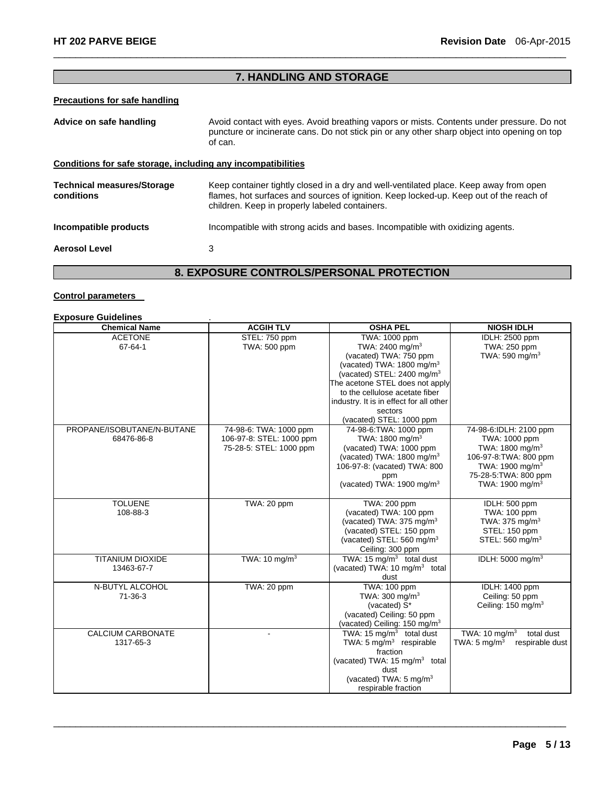# **7. HANDLING AND STORAGE AND STORAGE AND STORAGE AND STORAGE**

 $\Box$ 

# **Precautions for safe handling**

| Advice on safe handling                                      | Avoid contact with eyes. Avoid breathing vapors or mists. Contents under pressure. Do not<br>puncture or incinerate cans. Do not stick pin or any other sharp object into opening on top<br>of can.                               |  |  |
|--------------------------------------------------------------|-----------------------------------------------------------------------------------------------------------------------------------------------------------------------------------------------------------------------------------|--|--|
| Conditions for safe storage, including any incompatibilities |                                                                                                                                                                                                                                   |  |  |
| <b>Technical measures/Storage</b><br>conditions              | Keep container tightly closed in a dry and well-ventilated place. Keep away from open<br>flames, hot surfaces and sources of ignition. Keep locked-up. Keep out of the reach of<br>children. Keep in properly labeled containers. |  |  |
| Incompatible products                                        | Incompatible with strong acids and bases. Incompatible with oxidizing agents.                                                                                                                                                     |  |  |
| <b>Aerosol Level</b>                                         | 3                                                                                                                                                                                                                                 |  |  |
| ,                                                            |                                                                                                                                                                                                                                   |  |  |

### **8. EXPOSURE CONTROLS/PERSONAL PROTECTION**

#### **Control parameters**

| <b>Exposure Guidelines</b> |                          |                                           |                                            |
|----------------------------|--------------------------|-------------------------------------------|--------------------------------------------|
| <b>Chemical Name</b>       | <b>ACGIH TLV</b>         | <b>OSHA PEL</b>                           | <b>NIOSH IDLH</b>                          |
| <b>ACETONE</b>             | STEL: 750 ppm            | TWA: 1000 ppm                             | IDLH: 2500 ppm                             |
| 67-64-1                    | TWA: 500 ppm             | TWA: 2400 mg/m <sup>3</sup>               | TWA: 250 ppm                               |
|                            |                          | (vacated) TWA: 750 ppm                    | TWA: 590 mg/m <sup>3</sup>                 |
|                            |                          | (vacated) TWA: 1800 mg/m <sup>3</sup>     |                                            |
|                            |                          | (vacated) STEL: 2400 mg/m <sup>3</sup>    |                                            |
|                            |                          | The acetone STEL does not apply           |                                            |
|                            |                          | to the cellulose acetate fiber            |                                            |
|                            |                          | industry. It is in effect for all other   |                                            |
|                            |                          | sectors                                   |                                            |
|                            |                          | (vacated) STEL: 1000 ppm                  |                                            |
| PROPANE/ISOBUTANE/N-BUTANE | 74-98-6: TWA: 1000 ppm   | 74-98-6: TWA: 1000 ppm                    | 74-98-6:IDLH: 2100 ppm                     |
| 68476-86-8                 | 106-97-8: STEL: 1000 ppm | TWA: 1800 mg/m <sup>3</sup>               | TWA: 1000 ppm                              |
|                            | 75-28-5: STEL: 1000 ppm  | (vacated) TWA: 1000 ppm                   | TWA: 1800 mg/m <sup>3</sup>                |
|                            |                          | (vacated) TWA: $1800 \text{ mg/m}^3$      | 106-97-8: TWA: 800 ppm                     |
|                            |                          | 106-97-8: (vacated) TWA: 800              | TWA: 1900 mg/m <sup>3</sup>                |
|                            |                          | ppm                                       | 75-28-5: TWA: 800 ppm                      |
|                            |                          | (vacated) TWA: 1900 mg/m <sup>3</sup>     | TWA: 1900 mg/m <sup>3</sup>                |
|                            |                          |                                           |                                            |
| <b>TOLUENE</b>             | TWA: 20 ppm              | TWA: 200 ppm                              | IDLH: 500 ppm                              |
| 108-88-3                   |                          | (vacated) TWA: 100 ppm                    | TWA: 100 ppm                               |
|                            |                          | (vacated) TWA: 375 mg/m <sup>3</sup>      | TWA: $375 \text{ mg/m}^3$                  |
|                            |                          | (vacated) STEL: 150 ppm                   | STEL: 150 ppm                              |
|                            |                          | (vacated) STEL: 560 mg/m <sup>3</sup>     | STEL: 560 mg/m <sup>3</sup>                |
|                            |                          | Ceiling: 300 ppm                          |                                            |
| <b>TITANIUM DIOXIDE</b>    | TWA: $10 \text{ mg/m}^3$ | TWA: $15 \text{ mg/m}^3$ total dust       | IDLH: 5000 mg/m <sup>3</sup>               |
| 13463-67-7                 |                          | (vacated) TWA: 10 mg/m <sup>3</sup> total |                                            |
|                            |                          | dust                                      |                                            |
| N-BUTYL ALCOHOL            | TWA: 20 ppm              | <b>TWA: 100 ppm</b>                       | IDLH: 1400 ppm                             |
| $71-36-3$                  |                          | TWA: $300 \text{ mg/m}^3$                 | Ceiling: 50 ppm                            |
|                            |                          | (vacated) S*                              | Ceiling: 150 mg/m <sup>3</sup>             |
|                            |                          | (vacated) Ceiling: 50 ppm                 |                                            |
|                            |                          | (vacated) Ceiling: 150 mg/m <sup>3</sup>  |                                            |
| <b>CALCIUM CARBONATE</b>   |                          | TWA: 15 $mq/m3$ total dust                | TWA: $10 \text{ mg/m}^3$<br>total dust     |
| 1317-65-3                  |                          | TWA: $5 \text{ mg/m}^3$ respirable        | TWA: $5 \text{ mg/m}^3$<br>respirable dust |
|                            |                          | fraction                                  |                                            |
|                            |                          | (vacated) TWA: 15 mg/m <sup>3</sup> total |                                            |
|                            |                          | dust                                      |                                            |
|                            |                          | (vacated) TWA: 5 mg/m <sup>3</sup>        |                                            |
|                            |                          | respirable fraction                       |                                            |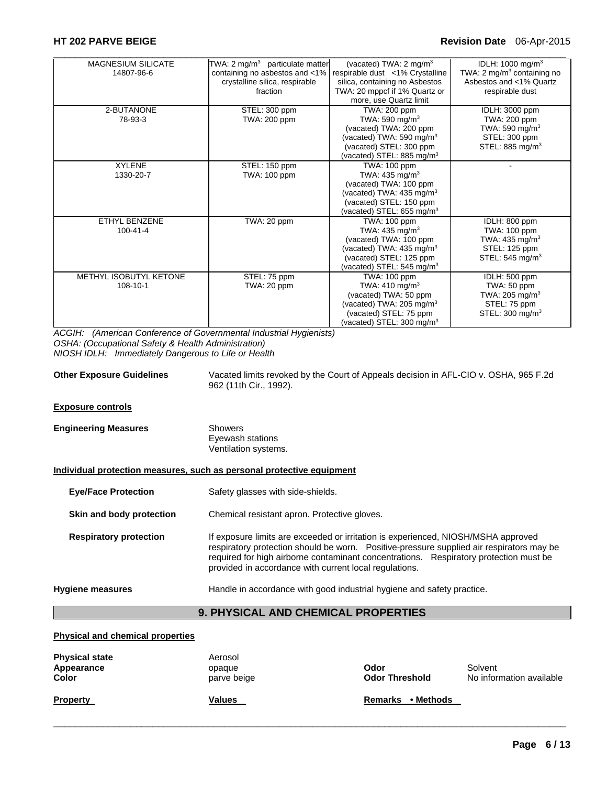#### **HT 202 PARVE BEIGE Revision Date** 06-Apr-2015

| <b>MAGNESIUM SILICATE</b> | TWA: $2 \text{ mg/m}^3$ particulate matter | (vacated) TWA: 2 mg/m <sup>3</sup>    | IDLH: 1000 mg/m <sup>3</sup>           |
|---------------------------|--------------------------------------------|---------------------------------------|----------------------------------------|
| 14807-96-6                | containing no asbestos and <1%             | respirable dust <1% Crystalline       | TWA: 2 mg/m <sup>3</sup> containing no |
|                           | crystalline silica, respirable             | silica, containing no Asbestos        | Asbestos and <1% Quartz                |
|                           | fraction                                   | TWA: 20 mppcf if 1% Quartz or         | respirable dust                        |
|                           |                                            | more, use Quartz limit                |                                        |
| 2-BUTANONE                | STEL: 300 ppm                              | TWA: 200 ppm                          | <b>IDLH: 3000 ppm</b>                  |
| 78-93-3                   | TWA: 200 ppm                               | TWA: 590 mg/m <sup>3</sup>            | TWA: 200 ppm                           |
|                           |                                            | (vacated) TWA: 200 ppm                | TWA: 590 mg/m <sup>3</sup>             |
|                           |                                            | (vacated) TWA: 590 mg/m <sup>3</sup>  | STEL: 300 ppm                          |
|                           |                                            | (vacated) STEL: 300 ppm               | STEL: 885 mg/m <sup>3</sup>            |
|                           |                                            | (vacated) STEL: 885 mg/m <sup>3</sup> |                                        |
| <b>XYLENE</b>             | STEL: 150 ppm                              | TWA: 100 ppm                          |                                        |
| 1330-20-7                 | TWA: 100 ppm                               | TWA: 435 mg/m <sup>3</sup>            |                                        |
|                           |                                            | (vacated) TWA: 100 ppm                |                                        |
|                           |                                            | (vacated) TWA: $435 \text{ mg/m}^3$   |                                        |
|                           |                                            | (vacated) STEL: 150 ppm               |                                        |
|                           |                                            | (vacated) STEL: $655 \text{ mg/m}^3$  |                                        |
| ETHYL BENZENE             | TWA: 20 ppm                                | TWA: 100 ppm                          | IDLH: 800 ppm                          |
| $100 - 41 - 4$            |                                            | TWA: $435 \text{ mg/m}^3$             | TWA: 100 ppm                           |
|                           |                                            | (vacated) TWA: 100 ppm                | TWA: 435 mg/m $3$                      |
|                           |                                            | (vacated) TWA: 435 mg/m <sup>3</sup>  | STEL: 125 ppm                          |
|                           |                                            | (vacated) STEL: 125 ppm               | STEL: 545 mg/m <sup>3</sup>            |
|                           |                                            | (vacated) STEL: $545 \text{ mg/m}^3$  |                                        |
| METHYL ISOBUTYL KETONE    | STEL: 75 ppm                               | TWA: 100 ppm                          | IDLH: 500 ppm                          |
| 108-10-1                  | TWA: 20 ppm                                | TWA: 410 mg/m <sup>3</sup>            | TWA: 50 ppm                            |
|                           |                                            | (vacated) TWA: 50 ppm                 | TWA: 205 mg/m <sup>3</sup>             |
|                           |                                            | (vacated) TWA: $205 \text{ mg/m}^3$   | STEL: 75 ppm                           |
|                           |                                            | (vacated) STEL: 75 ppm                | STEL: $300 \text{ mg/m}^3$             |
|                           |                                            | (vacated) STEL: 300 mg/m <sup>3</sup> |                                        |

*ACGIH: (American Conference of Governmental Industrial Hygienists) OSHA: (Occupational Safety & Health Administration) NIOSH IDLH: Immediately Dangerous to Life or Health* 

**Other Exposure Guidelines** Vacated limits revoked by the Court of Appeals decision in AFL-CIO v. OSHA, 965 F.2d 962 (11th Cir., 1992).

#### **Exposure controls**

| Showers              |
|----------------------|
| Eyewash stations     |
| Ventilation systems. |
|                      |

#### **Individual protection measures, such as personal protective equipment**

**Eye/Face Protection** Safety glasses with side-shields.

**Skin and body protection** Chemical resistant apron. Protective gloves.

**Respiratory protection** If exposure limits are exceeded or irritation is experienced, NIOSH/MSHA approved respiratory protection should be worn. Positive-pressure supplied air respirators may be required for high airborne contaminant concentrations. Respiratory protection must be provided in accordance with current local regulations.

**Hygiene measures** Handle in accordance with good industrial hygiene and safety practice.

# **9. PHYSICAL AND CHEMICAL PROPERTIES**

#### **Physical and chemical properties**

| <b>Physical state</b><br>Appearance<br>Color | Aerosol<br>opaque<br>parve beige | Odor<br><b>Odor Threshold</b> | Solvent<br>No information available |
|----------------------------------------------|----------------------------------|-------------------------------|-------------------------------------|
| <b>Property</b>                              | Values                           | • Methods<br><b>Remarks</b>   |                                     |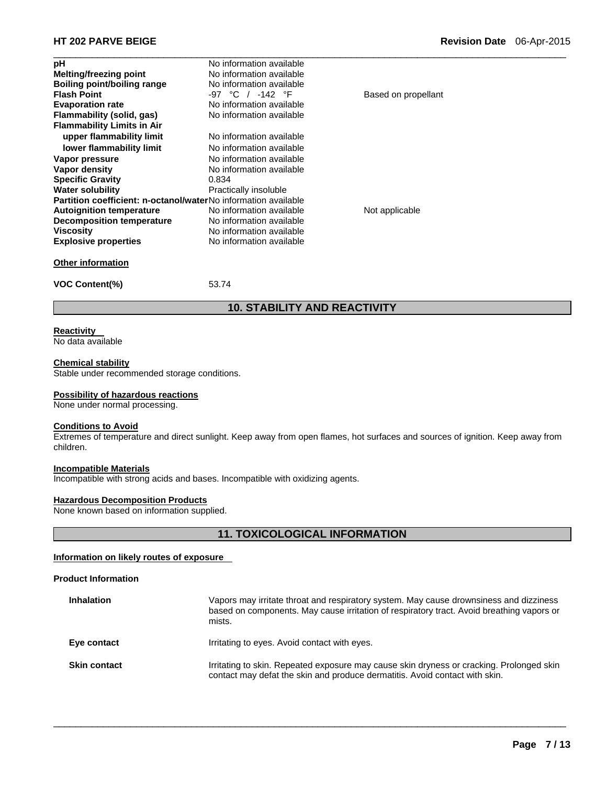| рH                                                             | No information available |                     |  |
|----------------------------------------------------------------|--------------------------|---------------------|--|
| Melting/freezing point                                         | No information available |                     |  |
| Boiling point/boiling range                                    | No information available |                     |  |
| <b>Flash Point</b>                                             | -97 °C / -142 °F         | Based on propellant |  |
| <b>Evaporation rate</b>                                        | No information available |                     |  |
| Flammability (solid, gas)                                      | No information available |                     |  |
| <b>Flammability Limits in Air</b>                              |                          |                     |  |
| upper flammability limit                                       | No information available |                     |  |
| lower flammability limit                                       | No information available |                     |  |
| Vapor pressure                                                 | No information available |                     |  |
| Vapor density                                                  | No information available |                     |  |
| <b>Specific Gravity</b>                                        | 0.834                    |                     |  |
| <b>Water solubility</b>                                        | Practically insoluble    |                     |  |
| Partition coefficient: n-octanol/waterNo information available |                          |                     |  |
| <b>Autoignition temperature</b>                                | No information available | Not applicable      |  |
| <b>Decomposition temperature</b>                               | No information available |                     |  |
| <b>Viscosity</b>                                               | No information available |                     |  |
| <b>Explosive properties</b>                                    | No information available |                     |  |
| <b>Other information</b>                                       |                          |                     |  |
| <b>VOC Content(%)</b>                                          | 53.74                    |                     |  |
|                                                                |                          |                     |  |

### **Reactivity**

No data available

#### **Chemical stability**

Stable under recommended storage conditions.

#### **Possibility of hazardous reactions**

None under normal processing.

#### **Conditions to Avoid**

Extremes of temperature and direct sunlight. Keep away from open flames, hot surfaces and sources of ignition. Keep away from children.

**10. STABILITY AND REACTIVITY** 

#### **Incompatible Materials**

Incompatible with strong acids and bases. Incompatible with oxidizing agents.

#### **Hazardous Decomposition Products**

None known based on information supplied.

# **11. TOXICOLOGICAL INFORMATION**

# **Information on likely routes of exposure**

# **Product Information**

| <b>Inhalation</b>   | Vapors may irritate throat and respiratory system. May cause drownsiness and dizziness<br>based on components. May cause irritation of respiratory tract. Avoid breathing vapors or<br>mists. |
|---------------------|-----------------------------------------------------------------------------------------------------------------------------------------------------------------------------------------------|
| Eye contact         | Irritating to eyes. Avoid contact with eyes.                                                                                                                                                  |
| <b>Skin contact</b> | Irritating to skin. Repeated exposure may cause skin dryness or cracking. Prolonged skin<br>contact may defat the skin and produce dermatitis. Avoid contact with skin.                       |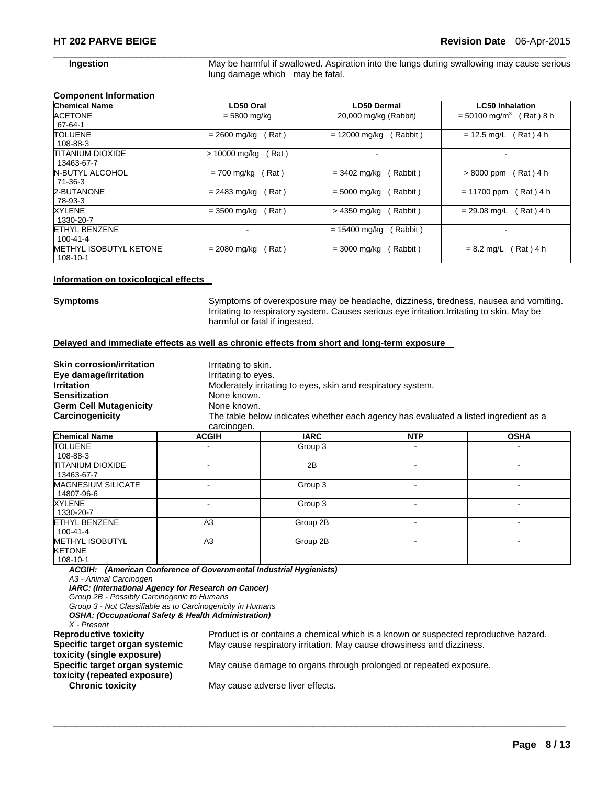**Ingestion May be harmful if swallowed. Aspiration into the lungs during swallowing may cause serious** lung damage which may be fatal.

#### **Component Information**

| <b>Chemical Name</b>                   | LD50 Oral             | LD50 Dermal                | <b>LC50 Inhalation</b>                  |
|----------------------------------------|-----------------------|----------------------------|-----------------------------------------|
| <b>ACETONE</b><br>67-64-1              | $= 5800$ mg/kg        | 20,000 mg/kg (Rabbit)      | $= 50100$ mg/m <sup>3</sup><br>Rat) 8 h |
| <b>TOLUENE</b>                         | Rat)                  | $= 12000$ mg/kg            | (Rat) 4 h                               |
| 108-88-3                               | = 2600 mg/kg          | Rabbit)                    | $= 12.5$ mg/L                           |
| <b>TITANIUM DIOXIDE</b><br>13463-67-7  | > 10000 mg/kg<br>Rat) | $\overline{\phantom{a}}$   |                                         |
| <b>N-BUTYL ALCOHOL</b>                 | Rat)                  | (Rabbit)                   | (Rat) 4 h                               |
| 71-36-3                                | $= 700$ mg/kg         | $= 3402 \text{ mg/kg}$     | $>8000$ ppm                             |
| 2-BUTANONE                             | $= 2483$ mg/kg        | (Rabbit)                   | Rat) 4 h                                |
| 78-93-3                                | Rat)                  | $= 5000$ mg/kg             | $= 11700$ ppm                           |
| XYLENE                                 | $= 3500$ mg/kg        | > 4350 mg/kg               | Rat ) 4 h                               |
| 1330-20-7                              | Rat)                  | (Rabbit)                   | $= 29.08$ mg/L                          |
| <b>ETHYL BENZENE</b><br>$100 - 41 - 4$ |                       | $= 15400$ mg/kg<br>Rabbit) |                                         |
| <b>METHYL ISOBUTYL KETONE</b>          | Rat)                  | (Rabbit)                   | Rat ) 4 h                               |
| 108-10-1                               | $= 2080$ mg/kg        | $= 3000$ mg/kg             | $= 8.2$ mg/L                            |

 $\Box$ 

#### **Information on toxicological effects**

**Symptoms** Symptoms of overexposure may be headache, dizziness, tiredness, nausea and vomiting. Irritating to respiratory system. Causes serious eye irritation.Irritating to skin. May be harmful or fatal if ingested.

### **Delayed and immediate effects as well as chronic effects from short and long-term exposure**

| <b>Skin corrosion/irritation</b> | Irritating to skin. |                                                                                      |            |             |
|----------------------------------|---------------------|--------------------------------------------------------------------------------------|------------|-------------|
| Eye damage/irritation            | Irritating to eyes. |                                                                                      |            |             |
| <b>Irritation</b>                |                     | Moderately irritating to eyes, skin and respiratory system.                          |            |             |
| <b>Sensitization</b>             |                     | None known.                                                                          |            |             |
| <b>Germ Cell Mutagenicity</b>    |                     | None known.                                                                          |            |             |
| Carcinogenicity                  |                     | The table below indicates whether each agency has evaluated a listed ingredient as a |            |             |
|                                  | carcinogen.         |                                                                                      |            |             |
| <b>Chemical Name</b>             | <b>ACGIH</b>        | <b>IARC</b>                                                                          | <b>NTP</b> | <b>OSHA</b> |

| <b>UNDERLIGATION</b>                                | <b>AVVIII</b>  | mw       | .              | "''                      |
|-----------------------------------------------------|----------------|----------|----------------|--------------------------|
| <b>TOLUENE</b>                                      | -              | Group 3  |                |                          |
| 108-88-3                                            |                |          |                |                          |
| <b>TITANIUM DIOXIDE</b><br>13463-67-7               | ۰              | 2B       | ۰              | $\overline{\phantom{a}}$ |
| <b>MAGNESIUM SILICATE</b><br>14807-96-6             | ۰              | Group 3  | ۰              |                          |
| <b>XYLENE</b><br>1330-20-7                          | ٠              | Group 3  |                | -                        |
| <b>ETHYL BENZENE</b><br>100-41-4                    | A <sub>3</sub> | Group 2B |                | -                        |
| <b>METHYL ISOBUTYL</b><br><b>KETONE</b><br>108-10-1 | A <sub>3</sub> | Group 2B | $\blacksquare$ | -                        |

 $\Box$ 

*ACGIH: (American Conference of Governmental Industrial Hygienists)* 

*A3 - Animal Carcinogen* 

*IARC: (International Agency for Research on Cancer)* 

*Group 2B - Possibly Carcinogenic to Humans* 

*Group 3 - Not Classifiable as to Carcinogenicity in Humans OSHA: (Occupational Safety & Health Administration)* 

*X - Present* 

**Specific target organ systemic toxicity (single exposure) Specific target organ systemic toxicity (repeated exposure)** 

**Reproductive toxicity** Product is or contains a chemical which is a known or suspected reproductive hazard. May cause respiratory irritation. May cause drowsiness and dizziness.

May cause damage to organs through prolonged or repeated exposure.

**Chronic toxicity May cause adverse liver effects.**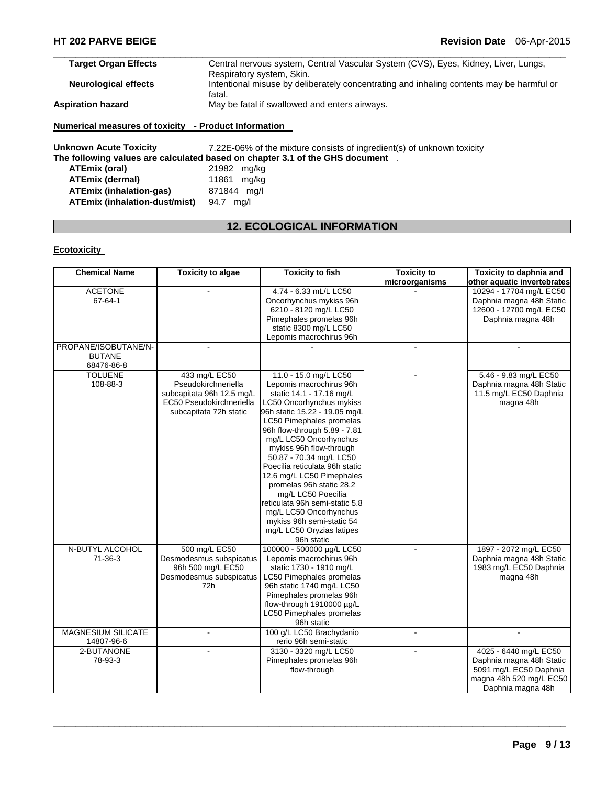| <b>Target Organ Effects</b> | Central nervous system, Central Vascular System (CVS), Eyes, Kidney, Liver, Lungs,       |
|-----------------------------|------------------------------------------------------------------------------------------|
|                             | Respiratory system, Skin.                                                                |
| <b>Neurological effects</b> | Intentional misuse by deliberately concentrating and inhaling contents may be harmful or |
|                             | fatal.                                                                                   |
| <b>Aspiration hazard</b>    | May be fatal if swallowed and enters airways.                                            |
|                             |                                                                                          |

### **Numerical measures of toxicity - Product Information**

**Unknown Acute Toxicity** 7.22E-06% of the mixture consists of ingredient(s) of unknown toxicity **The following values are calculated based on chapter 3.1 of the GHS document** . **ATEmix (oral)** 21982 mg/kg **ATEmix (dermal)** 11861 mg/kg **ATEmix (inhalation-gas)** 871844 mg/l **ATEmix (inhalation-dust/mist)** 94.7 mg/l

# **12. ECOLOGICAL INFORMATION**

### **Ecotoxicity**

| <b>Chemical Name</b>      | <b>Toxicity to algae</b>  | <b>Toxicity to fish</b>        | <b>Toxicity to</b> | Toxicity to daphnia and     |
|---------------------------|---------------------------|--------------------------------|--------------------|-----------------------------|
|                           |                           |                                | microorganisms     | other aquatic invertebrates |
| <b>ACETONE</b>            |                           | 4.74 - 6.33 mL/L LC50          |                    | 10294 - 17704 mg/L EC50     |
| 67-64-1                   |                           | Oncorhynchus mykiss 96h        |                    | Daphnia magna 48h Static    |
|                           |                           | 6210 - 8120 mg/L LC50          |                    | 12600 - 12700 mg/L EC50     |
|                           |                           | Pimephales promelas 96h        |                    | Daphnia magna 48h           |
|                           |                           | static 8300 mg/L LC50          |                    |                             |
|                           |                           | Lepomis macrochirus 96h        |                    |                             |
| PROPANE/ISOBUTANE/N-      |                           |                                |                    |                             |
| <b>BUTANE</b>             |                           |                                |                    |                             |
| 68476-86-8                |                           |                                |                    |                             |
| <b>TOLUENE</b>            | 433 mg/L EC50             | 11.0 - 15.0 mg/L LC50          | $\blacksquare$     | 5.46 - 9.83 mg/L EC50       |
| 108-88-3                  | Pseudokirchneriella       | Lepomis macrochirus 96h        |                    | Daphnia magna 48h Static    |
|                           | subcapitata 96h 12.5 mg/L | static 14.1 - 17.16 mg/L       |                    | 11.5 mg/L EC50 Daphnia      |
|                           | EC50 Pseudokirchneriella  | LC50 Oncorhynchus mykiss       |                    | magna 48h                   |
|                           | subcapitata 72h static    | 96h static 15.22 - 19.05 mg/L  |                    |                             |
|                           |                           | LC50 Pimephales promelas       |                    |                             |
|                           |                           | 96h flow-through 5.89 - 7.81   |                    |                             |
|                           |                           | mg/L LC50 Oncorhynchus         |                    |                             |
|                           |                           | mykiss 96h flow-through        |                    |                             |
|                           |                           | 50.87 - 70.34 mg/L LC50        |                    |                             |
|                           |                           | Poecilia reticulata 96h static |                    |                             |
|                           |                           | 12.6 mg/L LC50 Pimephales      |                    |                             |
|                           |                           | promelas 96h static 28.2       |                    |                             |
|                           |                           |                                |                    |                             |
|                           |                           | mg/L LC50 Poecilia             |                    |                             |
|                           |                           | reticulata 96h semi-static 5.8 |                    |                             |
|                           |                           | mg/L LC50 Oncorhynchus         |                    |                             |
|                           |                           | mykiss 96h semi-static 54      |                    |                             |
|                           |                           | mg/L LC50 Oryzias latipes      |                    |                             |
|                           |                           | 96h static                     |                    |                             |
| N-BUTYL ALCOHOL           | 500 mg/L EC50             | 100000 - 500000 µg/L LC50      |                    | 1897 - 2072 mg/L EC50       |
| $71 - 36 - 3$             | Desmodesmus subspicatus   | Lepomis macrochirus 96h        |                    | Daphnia magna 48h Static    |
|                           | 96h 500 mg/L EC50         | static 1730 - 1910 mg/L        |                    | 1983 mg/L EC50 Daphnia      |
|                           | Desmodesmus subspicatus   | LC50 Pimephales promelas       |                    | magna 48h                   |
|                           | 72h                       | 96h static 1740 mg/L LC50      |                    |                             |
|                           |                           | Pimephales promelas 96h        |                    |                             |
|                           |                           | flow-through 1910000 µg/L      |                    |                             |
|                           |                           | LC50 Pimephales promelas       |                    |                             |
|                           |                           | 96h static                     |                    |                             |
| <b>MAGNESIUM SILICATE</b> |                           | 100 g/L LC50 Brachydanio       |                    |                             |
| 14807-96-6                |                           | rerio 96h semi-static          |                    |                             |
| 2-BUTANONE                |                           | 3130 - 3320 mg/L LC50          |                    | 4025 - 6440 mg/L EC50       |
| 78-93-3                   |                           | Pimephales promelas 96h        |                    | Daphnia magna 48h Static    |
|                           |                           | flow-through                   |                    | 5091 mg/L EC50 Daphnia      |
|                           |                           |                                |                    | magna 48h 520 mg/L EC50     |
|                           |                           |                                |                    | Daphnia magna 48h           |
|                           |                           |                                |                    |                             |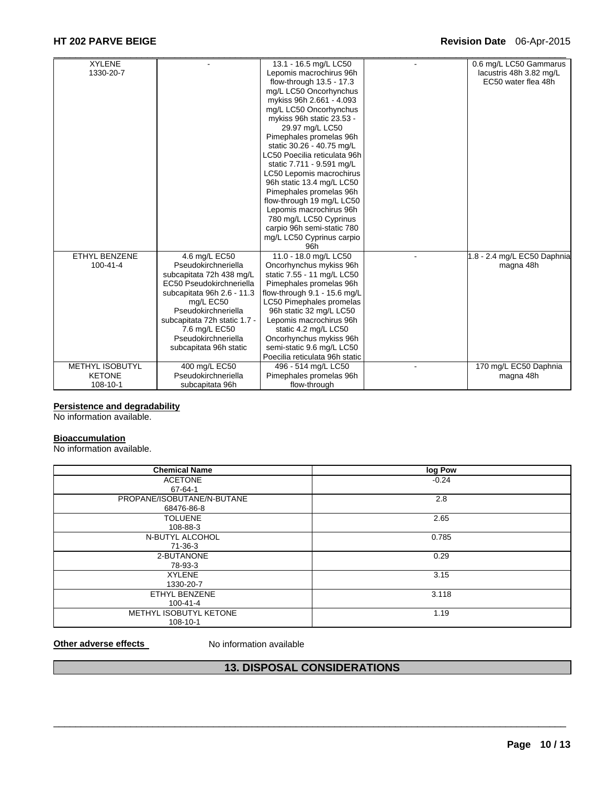# **HT 202 PARVE BEIGE Revision Date** 06-Apr-2015

| <b>XYLENE</b>          |                              | 13.1 - 16.5 mg/L LC50          | 0.6 mg/L LC50 Gammarus      |
|------------------------|------------------------------|--------------------------------|-----------------------------|
| 1330-20-7              |                              | Lepomis macrochirus 96h        | lacustris 48h 3.82 mg/L     |
|                        |                              | flow-through 13.5 - 17.3       | EC50 water flea 48h         |
|                        |                              | mg/L LC50 Oncorhynchus         |                             |
|                        |                              | mykiss 96h 2.661 - 4.093       |                             |
|                        |                              | mg/L LC50 Oncorhynchus         |                             |
|                        |                              | mykiss 96h static 23.53 -      |                             |
|                        |                              | 29.97 mg/L LC50                |                             |
|                        |                              | Pimephales promelas 96h        |                             |
|                        |                              | static 30.26 - 40.75 mg/L      |                             |
|                        |                              | LC50 Poecilia reticulata 96h   |                             |
|                        |                              | static 7.711 - 9.591 mg/L      |                             |
|                        |                              | LC50 Lepomis macrochirus       |                             |
|                        |                              | 96h static 13.4 mg/L LC50      |                             |
|                        |                              | Pimephales promelas 96h        |                             |
|                        |                              | flow-through 19 mg/L LC50      |                             |
|                        |                              | Lepomis macrochirus 96h        |                             |
|                        |                              | 780 mg/L LC50 Cyprinus         |                             |
|                        |                              | carpio 96h semi-static 780     |                             |
|                        |                              | mg/L LC50 Cyprinus carpio      |                             |
|                        |                              | 96h                            |                             |
| <b>ETHYL BENZENE</b>   | 4.6 mg/L EC50                | 11.0 - 18.0 mg/L LC50          | 1.8 - 2.4 mg/L EC50 Daphnia |
| $100 - 41 - 4$         | Pseudokirchneriella          | Oncorhynchus mykiss 96h        | magna 48h                   |
|                        | subcapitata 72h 438 mg/L     | static 7.55 - 11 mg/L LC50     |                             |
|                        | EC50 Pseudokirchneriella     | Pimephales promelas 96h        |                             |
|                        | subcapitata 96h 2.6 - 11.3   | flow-through 9.1 - 15.6 mg/L   |                             |
|                        | mg/L EC50                    | LC50 Pimephales promelas       |                             |
|                        | Pseudokirchneriella          | 96h static 32 mg/L LC50        |                             |
|                        | subcapitata 72h static 1.7 - | Lepomis macrochirus 96h        |                             |
|                        | 7.6 mg/L EC50                | static 4.2 mg/L LC50           |                             |
|                        | Pseudokirchneriella          | Oncorhynchus mykiss 96h        |                             |
|                        | subcapitata 96h static       | semi-static 9.6 mg/L LC50      |                             |
|                        |                              | Poecilia reticulata 96h static |                             |
| <b>METHYL ISOBUTYL</b> | 400 mg/L EC50                | 496 - 514 mg/L LC50            | 170 mg/L EC50 Daphnia       |
| <b>KETONE</b>          | Pseudokirchneriella          | Pimephales promelas 96h        | magna 48h                   |
| 108-10-1               | subcapitata 96h              | flow-through                   |                             |

#### **Persistence and degradability**

No information available.

#### **Bioaccumulation**

No information available.

| <b>Chemical Name</b>       | log Pow |
|----------------------------|---------|
| <b>ACETONE</b>             | $-0.24$ |
| 67-64-1                    |         |
| PROPANE/ISOBUTANE/N-BUTANE | 2.8     |
| 68476-86-8                 |         |
| <b>TOLUENE</b>             | 2.65    |
| 108-88-3                   |         |
| N-BUTYL ALCOHOL            | 0.785   |
| 71-36-3                    |         |
| 2-BUTANONE                 | 0.29    |
| 78-93-3                    |         |
| <b>XYLENE</b>              | 3.15    |
| 1330-20-7                  |         |
| ETHYL BENZENE              | 3.118   |
| $100 - 41 - 4$             |         |
| METHYL ISOBUTYL KETONE     | 1.19    |
| 108-10-1                   |         |

**Other adverse effects** No information available

# **13. DISPOSAL CONSIDERATIONS**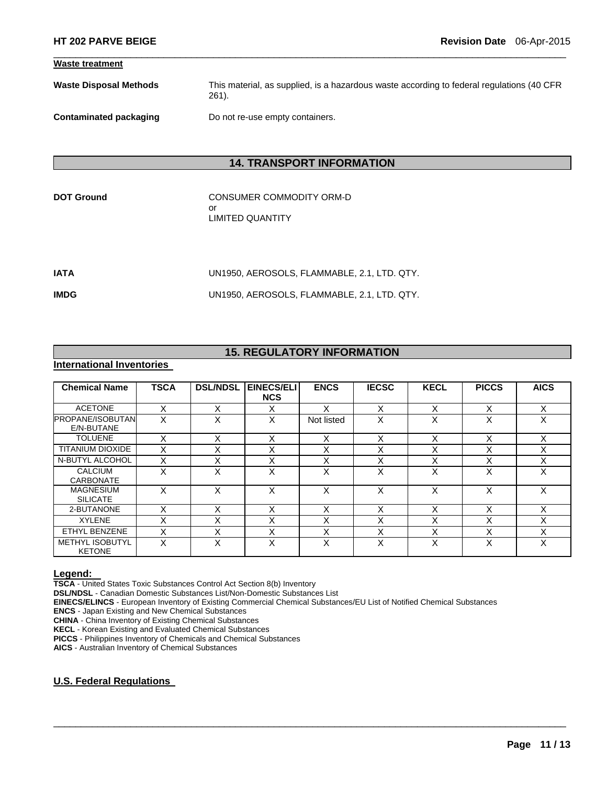| <b>Waste treatment</b>        |                                                                                                      |
|-------------------------------|------------------------------------------------------------------------------------------------------|
| <b>Waste Disposal Methods</b> | This material, as supplied, is a hazardous waste according to federal regulations (40 CFR<br>$261$ . |
| Contaminated packaging        | Do not re-use empty containers.                                                                      |

 $\Box$ 

# **14. TRANSPORT INFORMATION**

CONSUMER COMMODITY ORM-D or LIMITED QUANTITY

| IATA | UN1950. AEROSOLS. FLAMMABLE. 2.1. LTD. QTY. |
|------|---------------------------------------------|
| IMDG | UN1950, AEROSOLS, FLAMMABLE, 2.1, LTD. QTY. |

# **15. REGULATORY INFORMATION**

# **International Inventories**

| <b>Chemical Name</b>                    | <b>TSCA</b> | <b>DSL/NDSL</b> | <b>EINECS/ELI</b><br><b>NCS</b> | <b>ENCS</b> | <b>IECSC</b> | <b>KECL</b>               | <b>PICCS</b> | <b>AICS</b> |
|-----------------------------------------|-------------|-----------------|---------------------------------|-------------|--------------|---------------------------|--------------|-------------|
| <b>ACETONE</b>                          |             | x               | x                               | x           | X            | $\checkmark$<br>⋏         |              | X           |
| <b>PROPANE/ISOBUTAN</b><br>E/N-BUTANE   | x           | X               | X                               | Not listed  | X            | v<br>∧                    | x            | X           |
| <b>TOLUENE</b>                          | X           | X               | X                               | Χ           | X            | X                         | X            | X           |
| <b>TITANIUM DIOXIDE</b>                 | X           | X               | X                               | X           | X            | v<br>ᄉ                    |              | X           |
| N-BUTYL ALCOHOL                         | X           | X               | Χ                               | X           | X            | $\checkmark$<br>∧         | X            | X           |
| <b>CALCIUM</b><br><b>CARBONATE</b>      | X           | X               | X                               | X           | X            | X                         | X            | X           |
| <b>MAGNESIUM</b><br><b>SILICATE</b>     | X           | X               | X                               | x           | X            | X                         | X            | X           |
| 2-BUTANONE                              | X           | X               | X                               | X           | X            | X                         | X            | X           |
| <b>XYLENE</b>                           |             | х               | X                               | Χ           | x            | v<br>⋏                    | х            | X           |
| ETHYL BENZENE                           | X           | X               | $\checkmark$<br>⋏               | X           | X            | $\checkmark$<br>$\lambda$ | X            | X           |
| <b>METHYL ISOBUTYL</b><br><b>KETONE</b> | x           | x               | X                               | x           | X            | $\checkmark$<br>$\lambda$ | x            | X           |

 $\Box$ 

**Legend: TSCA** - United States Toxic Substances Control Act Section 8(b) Inventory

**DSL/NDSL** - Canadian Domestic Substances List/Non-Domestic Substances List

**EINECS/ELINCS** - European Inventory of Existing Commercial Chemical Substances/EU List of Notified Chemical Substances

**ENCS** - Japan Existing and New Chemical Substances

**CHINA** - China Inventory of Existing Chemical Substances

**KECL** - Korean Existing and Evaluated Chemical Substances

**PICCS** - Philippines Inventory of Chemicals and Chemical Substances

**AICS** - Australian Inventory of Chemical Substances

### **U.S. Federal Regulations**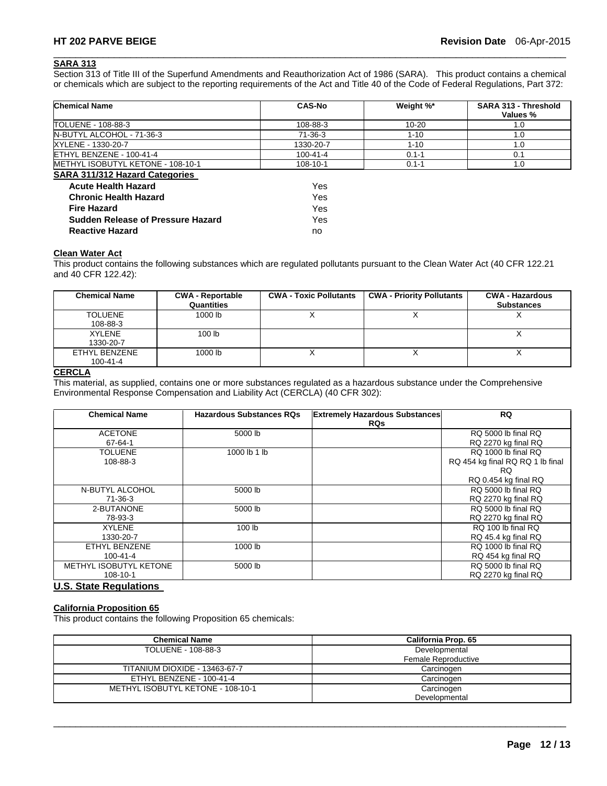# **SARA 313**

Section 313 of Title III of the Superfund Amendments and Reauthorization Act of 1986 (SARA). This product contains a chemical or chemicals which are subject to the reporting requirements of the Act and Title 40 of the Code of Federal Regulations, Part 372:

 $\Box$ 

| <b>Chemical Name</b>                     | <b>CAS-No</b>         | Weight %* | SARA 313 - Threshold<br>Values % |
|------------------------------------------|-----------------------|-----------|----------------------------------|
| TOLUENE - 108-88-3                       | 108-88-3              | $10 - 20$ | 1.0                              |
| N-BUTYL ALCOHOL - 71-36-3                | $71-36-3$             | $1 - 10$  | 1.0                              |
| XYLENE - 1330-20-7                       | 1330-20-7             | $1 - 10$  | 1.0                              |
| ETHYL BENZENE - 100-41-4                 | 100-41-4              | $0.1 - 1$ | 0.1                              |
| METHYL ISOBUTYL KETONE - 108-10-1        | 108-10-1<br>$0.1 - 1$ |           | 1.0                              |
| <b>SARA 311/312 Hazard Categories</b>    |                       |           |                                  |
| <b>Acute Health Hazard</b>               | Yes                   |           |                                  |
| <b>Chronic Health Hazard</b>             | Yes                   |           |                                  |
| <b>Fire Hazard</b>                       | Yes                   |           |                                  |
| <b>Sudden Release of Pressure Hazard</b> | Yes                   |           |                                  |
| <b>Reactive Hazard</b>                   | no                    |           |                                  |

# **Clean Water Act**

This product contains the following substances which are regulated pollutants pursuant to the Clean Water Act (40 CFR 122.21 and 40 CFR 122.42):

| <b>Chemical Name</b> | <b>CWA - Reportable</b><br>Quantities | <b>CWA - Toxic Pollutants</b> | <b>CWA - Priority Pollutants</b> | <b>CWA - Hazardous</b><br><b>Substances</b> |
|----------------------|---------------------------------------|-------------------------------|----------------------------------|---------------------------------------------|
| <b>TOLUENE</b>       | 1000 lb                               |                               |                                  |                                             |
| 108-88-3             |                                       |                               |                                  |                                             |
| <b>XYLENE</b>        | 100 <sub>1b</sub>                     |                               |                                  |                                             |
| 1330-20-7            |                                       |                               |                                  |                                             |
| ETHYL BENZENE        | 1000 lb                               |                               |                                  |                                             |
| $100 - 41 - 4$       |                                       |                               |                                  |                                             |

#### **CERCLA**

This material, as supplied, contains one or more substances regulated as a hazardous substance under the Comprehensive Environmental Response Compensation and Liability Act (CERCLA) (40 CFR 302):

| <b>Chemical Name</b>   | <b>Hazardous Substances RQs</b> | <b>Extremely Hazardous Substances</b><br><b>RQs</b> | RQ                               |
|------------------------|---------------------------------|-----------------------------------------------------|----------------------------------|
| <b>ACETONE</b>         | 5000 lb                         |                                                     | RQ 5000 lb final RQ              |
| $67 - 64 - 1$          |                                 |                                                     | RQ 2270 kg final RQ              |
| <b>TOLUENE</b>         | 1000 lb 1 lb                    |                                                     | RQ 1000 lb final RQ              |
| 108-88-3               |                                 |                                                     | RQ 454 kg final RQ RQ 1 lb final |
|                        |                                 |                                                     | <b>RQ</b>                        |
|                        |                                 |                                                     | RQ 0.454 kg final RQ             |
| N-BUTYL ALCOHOL        | 5000 lb                         |                                                     | RQ 5000 lb final RQ              |
| 71-36-3                |                                 |                                                     | RQ 2270 kg final RQ              |
| 2-BUTANONE             | 5000 lb                         |                                                     | RQ 5000 lb final RQ              |
| 78-93-3                |                                 |                                                     | RQ 2270 kg final RQ              |
| <b>XYLENE</b>          | 100 <sub>lb</sub>               |                                                     | RQ 100 lb final RQ               |
| 1330-20-7              |                                 |                                                     | RQ 45.4 kg final RQ              |
| ETHYL BENZENE          | 1000 lb                         |                                                     | RO 1000 lb final RO              |
| $100 - 41 - 4$         |                                 |                                                     | RQ 454 kg final RQ               |
| METHYL ISOBUTYL KETONE | 5000 lb                         |                                                     | RQ 5000 lb final RQ              |
| 108-10-1               |                                 |                                                     | RQ 2270 kg final RQ              |

#### **U.S. State Regulations**

# **California Proposition 65**

This product contains the following Proposition 65 chemicals:

| <b>Chemical Name</b>              | California Prop. 65 |  |  |
|-----------------------------------|---------------------|--|--|
| TOLUENE - 108-88-3                | Developmental       |  |  |
|                                   | Female Reproductive |  |  |
| TITANIUM DIOXIDE - 13463-67-7     | Carcinogen          |  |  |
| ETHYL BENZENE - 100-41-4          | Carcinogen          |  |  |
| METHYL ISOBUTYL KETONE - 108-10-1 | Carcinogen          |  |  |
|                                   | Developmental       |  |  |